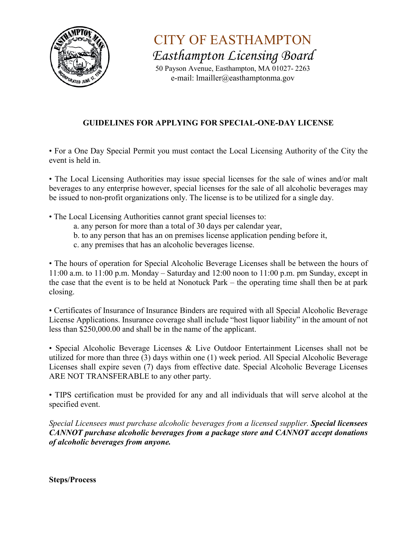

CITY OF EASTHAMPTON *Easthampton Licensing Board* 

50 Payson Avenue, Easthampton, MA 01027- 2263 e-mail: lmailler@easthamptonma.gov

## **GUIDELINES FOR APPLYING FOR SPECIAL-ONE-DAY LICENSE**

• For a One Day Special Permit you must contact the Local Licensing Authority of the City the event is held in.

• The Local Licensing Authorities may issue special licenses for the sale of wines and/or malt beverages to any enterprise however, special licenses for the sale of all alcoholic beverages may be issued to non-profit organizations only. The license is to be utilized for a single day.

- The Local Licensing Authorities cannot grant special licenses to:
	- a. any person for more than a total of 30 days per calendar year,
	- b. to any person that has an on premises license application pending before it,
	- c. any premises that has an alcoholic beverages license.

• The hours of operation for Special Alcoholic Beverage Licenses shall be between the hours of 11:00 a.m. to 11:00 p.m. Monday – Saturday and 12:00 noon to 11:00 p.m. pm Sunday, except in the case that the event is to be held at Nonotuck Park – the operating time shall then be at park closing.

• Certificates of Insurance of Insurance Binders are required with all Special Alcoholic Beverage License Applications. Insurance coverage shall include "host liquor liability" in the amount of not less than \$250,000.00 and shall be in the name of the applicant.

• Special Alcoholic Beverage Licenses & Live Outdoor Entertainment Licenses shall not be utilized for more than three (3) days within one (1) week period. All Special Alcoholic Beverage Licenses shall expire seven (7) days from effective date. Special Alcoholic Beverage Licenses ARE NOT TRANSFERABLE to any other party.

• TIPS certification must be provided for any and all individuals that will serve alcohol at the specified event.

*Special Licensees must purchase alcoholic beverages from a licensed supplier. Special licensees CANNOT purchase alcoholic beverages from a package store and CANNOT accept donations of alcoholic beverages from anyone.* 

**Steps/Process**